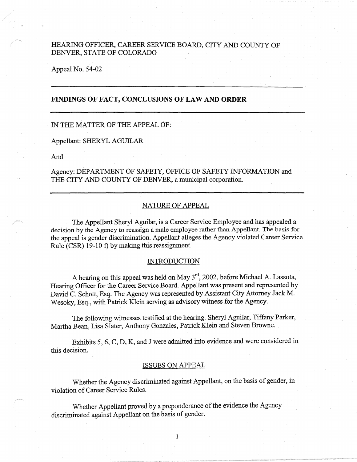# HEARING OFFICER, CAREER SERVICE BOARD, CITY AND COUNTY OF DENVER, STATE OF COLORADO

Appeal No. 54-02

## **-FINDINGS OF FACT, CONCLUSIONS OF LAW AND ORDER**

### IN THE MATTER OF THE APPEAL OF:

Appellant: SHERYL AGUILAR

And

Agency: DEPARTMENT OF SAFETY, OFFICE OF SAFETY INFORMATION and THE CITY AND COUNTY OF DENVER, a municipal corporation.

### NATURE OF APPEAL

The Appellant Sheryl Aguilar, is a Career Service Employee and has appealed a decision by the Agency to reassign a male employee rather than Appellant. The basis for the appeal is gender discrimination. Appellant alleges the Agency violated Career Service Rule (CSR) 19-10 f) by making this reassignment.

### **INTRODUCTION**

A hearing on this appeal was held on May  $3^{rd}$ , 2002, before Michael A. Lassota, Hearing Officer for the Career Service Board. Appellant was present and represented by David C. Schott, Esq. The Agency was represented by Assistant City Attorney Jack M. Wesoky, Esq., with Patrick Klein serving as advisory witness for the Agency.

The following witnesses testified at the hearing. Sheryl Aguilar, Tiffany Parker, Martha Bean, Lisa Slater, Anthony Gonzales, Patrick Klein and Steven Browne.

Exhibits 5, 6, C, D, K, and J were admitted into evidence and were considered in this decision.

#### ISSUES ON APPEAL

Whether the Agency discriminated against Appellant, on the basis of gender, in violation of Career Service Rules.

1

Whether Appellant proved by a preponderance of the evidence the Agency discriminated against Appellant on the basis of gender.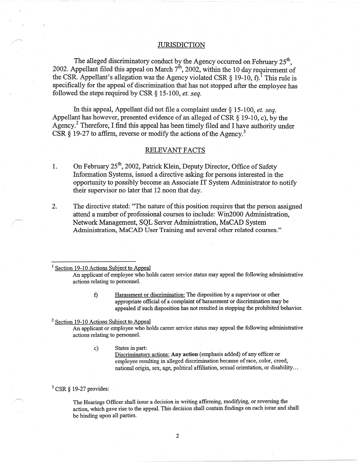#### **JURISDICTION**

The alleged discriminatory conduct by the Agency occurred on February 25<sup>th</sup>, 2002. Appellant filed this appeal on March  $7^{\text{th}}$ , 2002, within the 10 day requirement of the CSR. Appellant's allegation was the Agency violated CSR  $\S$  19-10, f).<sup>1</sup> This rule is specifically for the appeal of discrimination that has not stopped after the employee has followed the steps required by CSR § 15-100, *et. seq.* 

In this appeal, Appellant did not file a complaint under  $\S$  15-100, *et. seq.* Appellant has however, presented evidence of an alleged of CSR  $\S$  19-10, c), by the Agency.<sup>2</sup> Therefore, I find this appeal has been timely filed and I have authority under CSR  $\S$  19-27 to affirm, reverse or modify the actions of the Agency.<sup>3</sup>

#### RELEVANT FACTS

- 1. On February 25<sup>th</sup>, 2002, Patrick Klein, Deputy Director, Office of Safety Information Systems, issued a directive asking for persons interested in the opportunity to possibly become an Associate IT System Administrator to notify their supervisor no later that 12 noon that day.
- 2. The directive stated: ''The nature of this position requires that the person assigned attend a number of professional courses to include: Win2000 Administration, Network Management, SQL Server Administration, MaCAD System Administration, MaCAD User Training and several other related courses."

<sup>1</sup> Section 19-10 Actions Subject to Appeal

An applicant of employee who holds career service status may appeal the following administrative actions relating to personnel.

> f) Harassment or discrimination: The disposition by a supervisor or other appropriate official of a complaint of harassment or discrimination may be appealed if such disposition has not resulted in stopping the prohibited behavior.

### <sup>2</sup> Section 19-10 Actions Subject to Appeal

An applicant or employee who holds career service status may appeal the following administrative actions relating to personnel.

c) States in part:

Discriminatory actions: **Any action** ( emphasis added) of any officer or employee resulting in alleged discrimination because of race, color, creed, national origin, sex, age, political affiliation, sexual orientation, or disability ...

### $3$  CSR § 19-27 provides:

The Hearings Officer shall issue a decision in writing affirming, modifying, or reversing the action, which gave rise to the appeal. This decision shall contain findings on each issue and shall be binding upon all parties.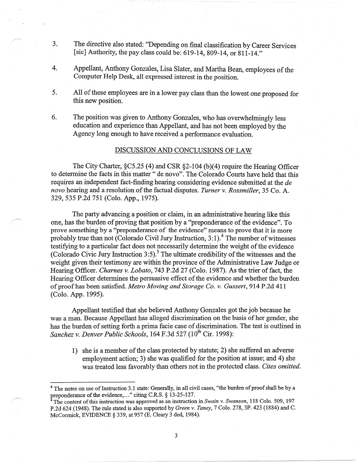- 3. The directive also stated: ''Depending on final classification by Career Services [sic] Authority, the pay class could be:  $619-14$ ,  $809-14$ , or  $811-14$ ."
- 4. Appellant, Anthony Gonzales, Lisa Slater, and Martha Bean, employees of the Computer Help Desk, all expressed interest in the position.
- 5. All of these employees are in a lower pay class than the lowest one proposed for this new position.
- 6. The position was given to Anthony Gonzales, who has overwhelmingly less education and experience than Appellant, and has not been employed by the Agency long enough to have received a performance evaluation.

### DISCUSSION AND CONCLUSIONS OF LAW

The City Charter, §C5.25 (4) and CSR §2-104 (b)(4) require the Hearing Officer to determine the facts in this matter" de novo". The Colorado Courts have held that this requires an independent fact-finding hearing considering evidence submitted at the *de novo* hearing and a resolution of the factual disputes. *Turner v. Rossmiller,* 35 Co. A. 329, 535 P.2d 751 (Colo. App., 1975).

The party advancing a position or claim, in an administrative hearing like this one, has the burden of proving that position by a "preponderance of the evidence". To prove something by a "preponderance of the evidence" means to prove that it is more probably true than not (Colorado Civil Jury Instruction,  $3:1$ ).<sup>4</sup> The number of witnesses testifying to a particular fact does not necessarily determine the weight of the evidence (Colorado Civic Jury Instruction 3:5).<sup>5</sup> The ultimate credibility of the witnesses and the weight given their testimony are within the province of the Administrative Law Judge or Hearing Officer. *Charnes v. Lobato,* 743 P.2d 27 (Colo. 1987). As the trier of fact, the. Hearing Officer determines the persuasive effect of the evidence and whether the burden of proof has been satisfied. *Metro Moving and Storage Co. v. Gussert,* 914 P.2d 411 (Colo. App. 1995).

Appellant testified that she believed Anthony Gonzales got the job because he was a man. Because Appellant has alleged discrimination on the basis of her gender, she has the burden of setting forth a prima facie case of discrimination. The test is outlined in *Sanchez v. Denver Public Schools,* 164 F.3d 527 (10<sup>th</sup> Cir. 1998):

1) she is a member of the class protected by statute; 2) she suffered an adverse employment action; 3) she was qualified for the position at issue; and 4) she was treated less favorably than others not in the protected class. *Cites omitted.* 

The notes on use of Instruction 3.1 state: Generally, in all civil cases, "the burden of proof shall be by a preponderance of the evidence,..." citing C.R.S. § 13-25-127.

The content of this instruction was approved as an instruction in *Swain v. Swanson,* 118 Colo. 509, 197 P.2d 624 (1948). The rule stated is also supported by *Green v. Taney,* 7 Colo. 278, 3P. 423 (1884) and C. McCormick, EVIDENCE § 339, at 957 (E. Cleary 3 ded, 1984).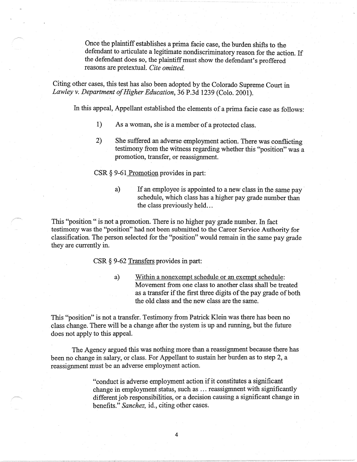Once the plaintiff establishes a prima facie case, the burden shifts to the defendant to articulate a legitimate nondiscriminatory reason for the action. If the defendant does so, the plaintiff must show the defendant's proffered reasons are pretextual. *Cite omitted.* 

Citing other cases, this test has also been adopted by the Colorado Supreme Court in *Lawley v. Department of Higher Education,* 36 P.3d 1239 (Colo. 2001).

In this appeal, Appellant established the elements of a prima facie case as follows:

- I) As a woman, she is a member of a protected class.
- 2) She suffered an adverse employment action. There was conflicting testimony from the witness regarding whether this "position" was a promotion, transfer, or reassignment.

CSR § 9-61 Promotion provides in part:

a) If an employee is appointed to a new class in the same pay schedule, which class has a higher pay grade number than the class previously held...

This "position " is not a promotion. There is no higher pay grade number. In fact testimony was the ''position" had not been submitted to the Career Service Authority for classification. The person selected for the ''position" would remain in the same pay grade they are currently in.

CSR § 9-62 Transfers provides in part:

a) Within a nonexempt schedule or an exempt schedule: Movement from one class to another class shall be treated as a transfer if the first three digits of the pay grade of both the old class and the new class are the same.

This "position" is not a transfer. Testimony from Patrick Klein was there has been no class change. There will be a change after the system is up and running, but the future does not apply to this appeal.

The Agency argued this was nothing more than a reassignment because there has been no change in salary, or class. For Appellant to sustain her burden as to step 2, a reassignment must be an adverse employment action.

> "conduct is adverse employment action if it constitutes a significant change in employment status, such as ... reassigmnent with significantly different job responsibilities, or a decision causing a significant change in benefits." *Sanchez,* id., citing other cases.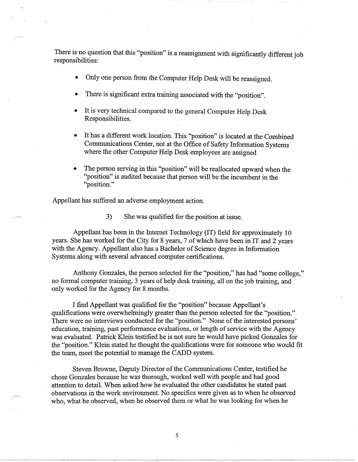There is no question that this "position'' is a reassignment with significantly different job responsibilities:

- Only one person from the Computer Help Desk will be reassigned.
- There is significant extra training associated with the "position".
- It is very technical compared to the general Computer Help Desk Responsibilities.
- It has a different work location. This "position" is located at the Combined Communications Center, not at the Office of Safety Information Systems where the other Computer Help Desk employees are assigned
- The person serving in this "position" will be reallocated upward when the "position" is audited because that person will be the incumbent in the "position."

Appellant has suffered an adverse employment action.

3) She was qualified for the position at issue.

Appellant has been in the Internet Technology (IT) field for approximately 1 O years. She has worked for the City for 8 years, 7 of which have been in IT and 2 years with the Agency. Appellant also has a Bachelor of Science degree in Information Systems along with several advanced computer certifications.

Anthony Gonzales, the person selected for the "position," has had "some college," no formal computer training, 3 years of help desk training, all on the job training, and only worked for the Agency for 8 months.

I find Appellant was qualified for the "position" because Appellant's qualifications were overwhelmingly greater than the person selected for the "position." There were no interviews conducted for the "position." None of the interested persons' education, training, past performance evaluations, or length of service with the Agency was evaluated. Patrick Klein testified he is not sure he would have picked Gonzales for the "position." Klein stated he thought the qualifications were for someone who would fit the team, meet the potential to manage the CADD system.

Steven Browne, Deputy Director of the Communications Center, testified he chose Gonzales because he was thorough, worked well with people and had good attention to detail. When asked how he evaluated the other candidates he stated past observations in the work environment. No specifics were given as to when he observed who, what he observed, when he observed them or what he was looking for when he

5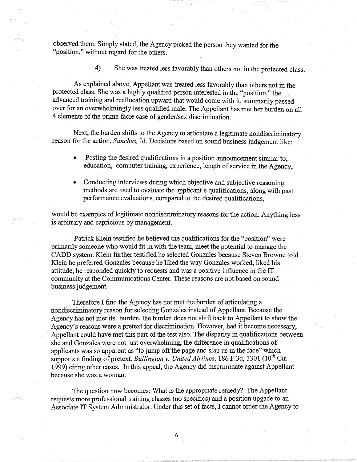observed them. Simply stated, the Agency picked the person they wanted for the "position," without regard for the others.

4) She was treated less favorably than others not in the protected class.

As explained above, Appellant was treated less favorably than others not in the protected class. She was a highly qualified person interested in the "position," the advanced training and reallocation upward that would come with it, summarily passed over for an overwhelmingly less qualified male. The Appellant has met her burden on all 4 elements of the prima facie case of gender/sex discrimination.

Next, the burden shifts to the Agency to articulate a legitimate nondiscriminatory reason for the action. *Sanchez,* Id. Decisions based on sound business judgement like:

- Posting the desired qualifications in a position announcement similar to: education, computer training, experience, length of service in the Agency;
- Conducting interviews during which objective and subjective reasoning methods are used to evaluate the applicant's qualifications, along with past performance evaluations, compared to the desired qualifications,

would be examples of legitimate nondiscriminatory reasons for the action. Anything less is arbitrary and capricious by management.

Patrick Klein testified he believed the qualifications for the "position" were primarily someone who would fit in with the team, meet the potential to manage the CADD system. Klein further testified he selected Gonzales because Steven Browne told Klein he preferred Gonzales because he liked the way Gonzales worked, liked his attitude, he responded quickly to requests and was a positive influence in the IT community at the Communications Center. These reasons are not based on sound business judgement.

Therefore I find the Agency has not met the burden of articulating a nondiscriminatory reason for selecting Gonzales instead of Appellant. Because the Agency has not met its' burden, the burden does not shift back to Appellant to show the Agency's reasons were a pretext for discrimination. However, had it become necessary, Appellant could have met this part of the test also. The disparity in qualifications between she and Gonzales were not just overwhelming, the difference in qualifications of applicants was so apparent as "to jump off the page and slap us in the face" which supports a finding of pretext. *Bullington v. United Airlines*, 186 F.3d, 1301 (10<sup>th</sup> Cir. 1999) citing other cases. In this appeal, the Agency did discriminate against Appellant because she was a woman.

The question now becomes: What is the appropriate remedy? The Appellant requests more professional training classes (no specifics) and a position upgade to an Associate IT System Administrator. Under this set of facts, I cannot order the Agency to

6